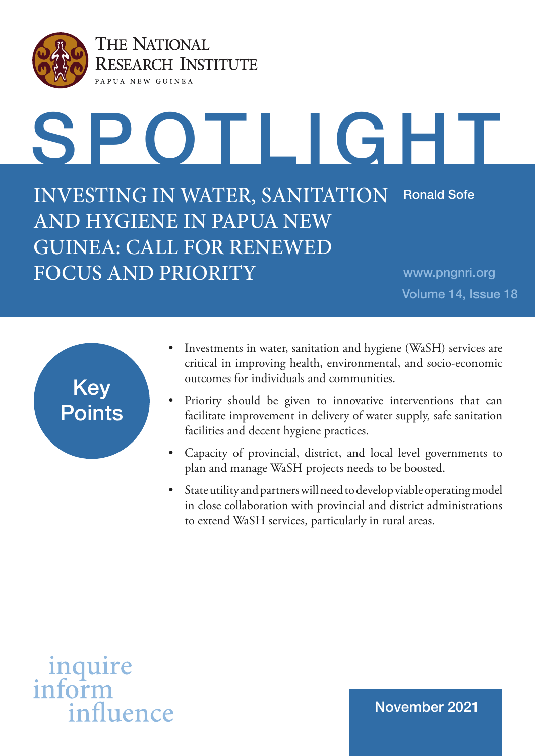

THE NATIONAL **RESEARCH INSTITUTE** PAPUA NEW GUINEA



INVESTING IN WATER, SANITATION AND HYGIENE IN PAPUA NEW GUINEA: CALL FOR RENEWED FOCUS AND PRIORITY Ronald Sofe

www.pngnri.org Volume 14, Issue 18



- Investments in water, sanitation and hygiene (WaSH) services are critical in improving health, environmental, and socio-economic outcomes for individuals and communities.
- Priority should be given to innovative interventions that can facilitate improvement in delivery of water supply, safe sanitation facilities and decent hygiene practices.
- Capacity of provincial, district, and local level governments to plan and manage WaSH projects needs to be boosted.
- State utility and partners will need to develop viable operating model in close collaboration with provincial and district administrations to extend WaSH services, particularly in rural areas.

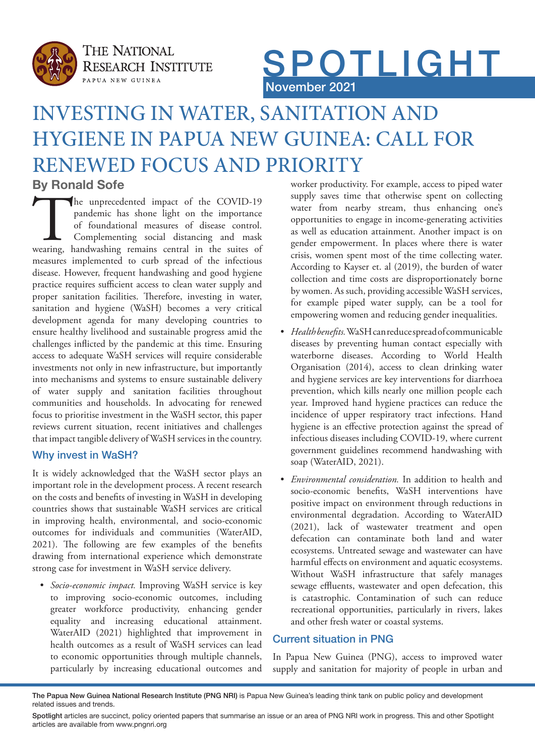



# INVESTING IN WATER, SANITATION AND HYGIENE IN PAPUA NEW GUINEA: CALL FOR RENEWED FOCUS AND PRIORITY

# **By Ronald Sofe**

The unprecedented impact of the COVID-19 pandemic has shone light on the importance of foundational measures of disease control.<br>Complementing social distancing and mask wearing, handwashing remains central in the suites o pandemic has shone light on the importance of foundational measures of disease control. Complementing social distancing and mask measures implemented to curb spread of the infectious disease. However, frequent handwashing and good hygiene practice requires sufficient access to clean water supply and proper sanitation facilities. Therefore, investing in water, sanitation and hygiene (WaSH) becomes a very critical development agenda for many developing countries to ensure healthy livelihood and sustainable progress amid the challenges inflicted by the pandemic at this time. Ensuring access to adequate WaSH services will require considerable investments not only in new infrastructure, but importantly into mechanisms and systems to ensure sustainable delivery of water supply and sanitation facilities throughout communities and households. In advocating for renewed focus to prioritise investment in the WaSH sector, this paper reviews current situation, recent initiatives and challenges that impact tangible delivery of WaSH services in the country.

## Why invest in WaSH?

It is widely acknowledged that the WaSH sector plays an important role in the development process. A recent research on the costs and benefits of investing in WaSH in developing countries shows that sustainable WaSH services are critical in improving health, environmental, and socio-economic outcomes for individuals and communities (WaterAID, 2021). The following are few examples of the benefits drawing from international experience which demonstrate strong case for investment in WaSH service delivery.

*• Socio-economic impact.* Improving WaSH service is key to improving socio-economic outcomes, including greater workforce productivity, enhancing gender equality and increasing educational attainment. WaterAID (2021) highlighted that improvement in health outcomes as a result of WaSH services can lead to economic opportunities through multiple channels, particularly by increasing educational outcomes and

worker productivity. For example, access to piped water supply saves time that otherwise spent on collecting water from nearby stream, thus enhancing one's opportunities to engage in income-generating activities as well as education attainment. Another impact is on gender empowerment. In places where there is water crisis, women spent most of the time collecting water. According to Kayser et. al (2019), the burden of water collection and time costs are disproportionately borne by women. As such, providing accessible WaSH services, for example piped water supply, can be a tool for empowering women and reducing gender inequalities.

- *• Health benefits.* WaSH can reduce spread of communicable diseases by preventing human contact especially with waterborne diseases. According to World Health Organisation (2014), access to clean drinking water and hygiene services are key interventions for diarrhoea prevention, which kills nearly one million people each year. Improved hand hygiene practices can reduce the incidence of upper respiratory tract infections. Hand hygiene is an effective protection against the spread of infectious diseases including COVID-19, where current government guidelines recommend handwashing with soap (WaterAID, 2021).
- *• Environmental consideration.* In addition to health and socio-economic benefits, WaSH interventions have positive impact on environment through reductions in environmental degradation. According to WaterAID (2021), lack of wastewater treatment and open defecation can contaminate both land and water ecosystems. Untreated sewage and wastewater can have harmful effects on environment and aquatic ecosystems. Without WaSH infrastructure that safely manages sewage effluents, wastewater and open defecation, this is catastrophic. Contamination of such can reduce recreational opportunities, particularly in rivers, lakes and other fresh water or coastal systems.

## Current situation in PNG

In Papua New Guinea (PNG), access to improved water supply and sanitation for majority of people in urban and

The Papua New Guinea National Research Institute (PNG NRI) is Papua New Guinea's leading think tank on public policy and development related issues and trends.

Spotlight articles are succinct, policy oriented papers that summarise an issue or an area of PNG NRI work in progress. This and other Spotlight articles are available from www.pngnri.org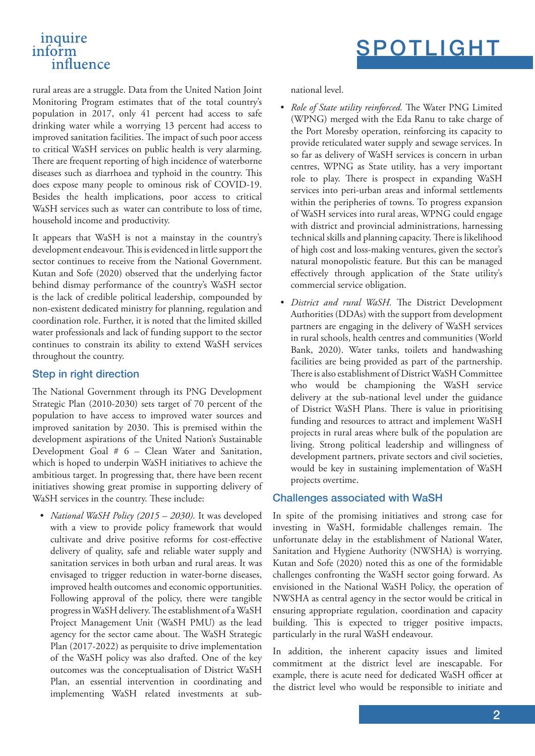## inquire inform influence

rural areas are a struggle. Data from the United Nation Joint Monitoring Program estimates that of the total country's population in 2017, only 41 percent had access to safe drinking water while a worrying 13 percent had access to improved sanitation facilities. The impact of such poor access to critical WaSH services on public health is very alarming. There are frequent reporting of high incidence of waterborne diseases such as diarrhoea and typhoid in the country. This does expose many people to ominous risk of COVID-19. Besides the health implications, poor access to critical WaSH services such as water can contribute to loss of time, household income and productivity.

It appears that WaSH is not a mainstay in the country's development endeavour. This is evidenced in little support the sector continues to receive from the National Government. Kutan and Sofe (2020) observed that the underlying factor behind dismay performance of the country's WaSH sector is the lack of credible political leadership, compounded by non-existent dedicated ministry for planning, regulation and coordination role. Further, it is noted that the limited skilled water professionals and lack of funding support to the sector continues to constrain its ability to extend WaSH services throughout the country.

#### Step in right direction

The National Government through its PNG Development Strategic Plan (2010-2030) sets target of 70 percent of the population to have access to improved water sources and improved sanitation by 2030. This is premised within the development aspirations of the United Nation's Sustainable Development Goal # 6 – Clean Water and Sanitation, which is hoped to underpin WaSH initiatives to achieve the ambitious target. In progressing that, there have been recent initiatives showing great promise in supporting delivery of WaSH services in the country. These include:

*• National WaSH Policy (2015 – 2030).* It was developed with a view to provide policy framework that would cultivate and drive positive reforms for cost-effective delivery of quality, safe and reliable water supply and sanitation services in both urban and rural areas. It was envisaged to trigger reduction in water-borne diseases, improved health outcomes and economic opportunities. Following approval of the policy, there were tangible progress in WaSH delivery. The establishment of a WaSH Project Management Unit (WaSH PMU) as the lead agency for the sector came about. The WaSH Strategic Plan (2017-2022) as perquisite to drive implementation of the WaSH policy was also drafted. One of the key outcomes was the conceptualisation of District WaSH Plan, an essential intervention in coordinating and implementing WaSH related investments at subnational level.

- *• Role of State utility reinforced.* The Water PNG Limited (WPNG) merged with the Eda Ranu to take charge of the Port Moresby operation, reinforcing its capacity to provide reticulated water supply and sewage services. In so far as delivery of WaSH services is concern in urban centres, WPNG as State utility, has a very important role to play. There is prospect in expanding WaSH services into peri-urban areas and informal settlements within the peripheries of towns. To progress expansion of WaSH services into rural areas, WPNG could engage with district and provincial administrations, harnessing technical skills and planning capacity. There is likelihood of high cost and loss-making ventures, given the sector's natural monopolistic feature. But this can be managed effectively through application of the State utility's commercial service obligation.
- *• District and rural WaSH.* The District Development Authorities (DDAs) with the support from development partners are engaging in the delivery of WaSH services in rural schools, health centres and communities (World Bank, 2020). Water tanks, toilets and handwashing facilities are being provided as part of the partnership. There is also establishment of District WaSH Committee who would be championing the WaSH service delivery at the sub-national level under the guidance of District WaSH Plans. There is value in prioritising funding and resources to attract and implement WaSH projects in rural areas where bulk of the population are living. Strong political leadership and willingness of development partners, private sectors and civil societies, would be key in sustaining implementation of WaSH projects overtime.

## Challenges associated with WaSH

In spite of the promising initiatives and strong case for investing in WaSH, formidable challenges remain. The unfortunate delay in the establishment of National Water, Sanitation and Hygiene Authority (NWSHA) is worrying. Kutan and Sofe (2020) noted this as one of the formidable challenges confronting the WaSH sector going forward. As envisioned in the National WaSH Policy, the operation of NWSHA as central agency in the sector would be critical in ensuring appropriate regulation, coordination and capacity building. This is expected to trigger positive impacts, particularly in the rural WaSH endeavour.

In addition, the inherent capacity issues and limited commitment at the district level are inescapable. For example, there is acute need for dedicated WaSH officer at the district level who would be responsible to initiate and